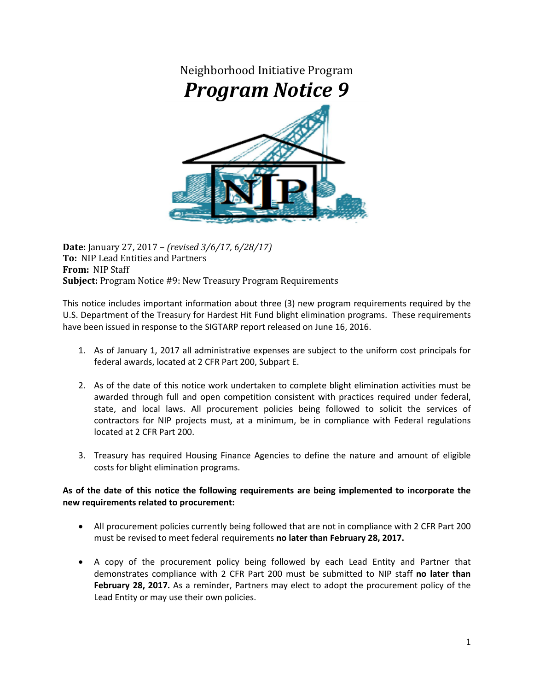

**Date:** January 27, 2017 – *(revised 3/6/17, 6/28/17)* **To:** NIP Lead Entities and Partners **From:** NIP Staff **Subject:** Program Notice #9: New Treasury Program Requirements

This notice includes important information about three (3) new program requirements required by the U.S. Department of the Treasury for Hardest Hit Fund blight elimination programs. These requirements have been issued in response to the SIGTARP report released on June 16, 2016.

- 1. As of January 1, 2017 all administrative expenses are subject to the uniform cost principals for federal awards, located at 2 CFR Part 200, Subpart E.
- 2. As of the date of this notice work undertaken to complete blight elimination activities must be awarded through full and open competition consistent with practices required under federal, state, and local laws. All procurement policies being followed to solicit the services of contractors for NIP projects must, at a minimum, be in compliance with Federal regulations located at 2 CFR Part 200.
- 3. Treasury has required Housing Finance Agencies to define the nature and amount of eligible costs for blight elimination programs.

## **As of the date of this notice the following requirements are being implemented to incorporate the new requirements related to procurement:**

- All procurement policies currently being followed that are not in compliance with 2 CFR Part 200 must be revised to meet federal requirements **no later than February 28, 2017.**
- A copy of the procurement policy being followed by each Lead Entity and Partner that demonstrates compliance with 2 CFR Part 200 must be submitted to NIP staff **no later than**  February 28, 2017. As a reminder, Partners may elect to adopt the procurement policy of the Lead Entity or may use their own policies.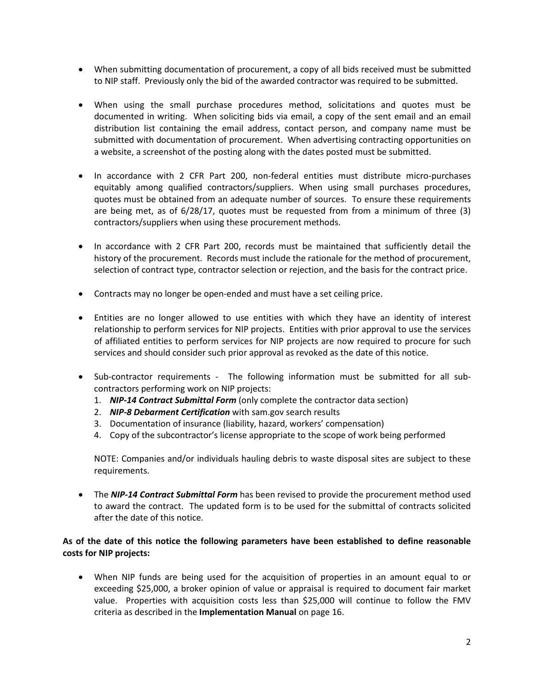- When submitting documentation of procurement, a copy of all bids received must be submitted to NIP staff. Previously only the bid of the awarded contractor was required to be submitted.
- When using the small purchase procedures method, solicitations and quotes must be documented in writing. When soliciting bids via email, a copy of the sent email and an email distribution list containing the email address, contact person, and company name must be submitted with documentation of procurement. When advertising contracting opportunities on a website, a screenshot of the posting along with the dates posted must be submitted.
- In accordance with 2 CFR Part 200, non-federal entities must distribute micro-purchases equitably among qualified contractors/suppliers. When using small purchases procedures, quotes must be obtained from an adequate number of sources. To ensure these requirements are being met, as of 6/28/17, quotes must be requested from from a minimum of three (3) contractors/suppliers when using these procurement methods.
- In accordance with 2 CFR Part 200, records must be maintained that sufficiently detail the history of the procurement. Records must include the rationale for the method of procurement, selection of contract type, contractor selection or rejection, and the basis for the contract price.
- Contracts may no longer be open-ended and must have a set ceiling price.
- Entities are no longer allowed to use entities with which they have an identity of interest relationship to perform services for NIP projects. Entities with prior approval to use the services of affiliated entities to perform services for NIP projects are now required to procure for such services and should consider such prior approval as revoked as the date of this notice.
- Sub-contractor requirements The following information must be submitted for all subcontractors performing work on NIP projects:
	- 1. *NIP-14 Contract Submittal Form* (only complete the contractor data section)
	- 2. *NIP-8 Debarment Certification* with sam.gov search results
	- 3. Documentation of insurance (liability, hazard, workers' compensation)
	- 4. Copy of the subcontractor's license appropriate to the scope of work being performed

NOTE: Companies and/or individuals hauling debris to waste disposal sites are subject to these requirements.

• The *NIP-14 Contract Submittal Form* has been revised to provide the procurement method used to award the contract. The updated form is to be used for the submittal of contracts solicited after the date of this notice.

## **As of the date of this notice the following parameters have been established to define reasonable costs for NIP projects:**

• When NIP funds are being used for the acquisition of properties in an amount equal to or exceeding \$25,000, a broker opinion of value or appraisal is required to document fair market value. Properties with acquisition costs less than \$25,000 will continue to follow the FMV criteria as described in the **Implementation Manual** on page 16.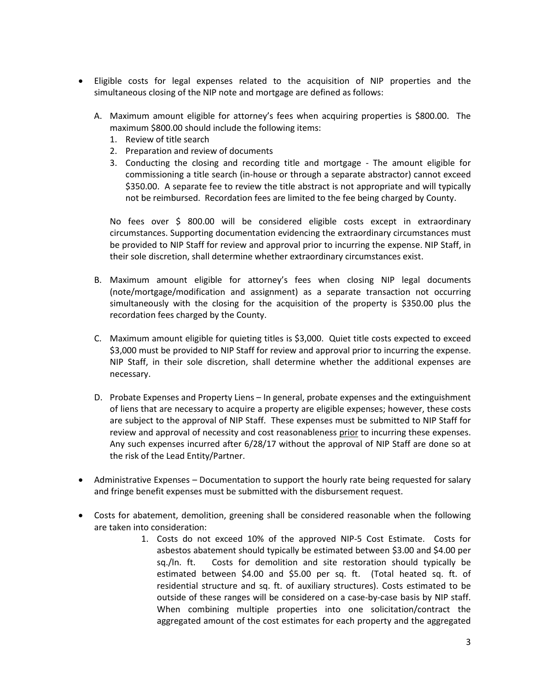- Eligible costs for legal expenses related to the acquisition of NIP properties and the simultaneous closing of the NIP note and mortgage are defined as follows:
	- A. Maximum amount eligible for attorney's fees when acquiring properties is \$800.00. The maximum \$800.00 should include the following items:
		- 1. Review of title search
		- 2. Preparation and review of documents
		- 3. Conducting the closing and recording title and mortgage The amount eligible for commissioning a title search (in-house or through a separate abstractor) cannot exceed \$350.00. A separate fee to review the title abstract is not appropriate and will typically not be reimbursed. Recordation fees are limited to the fee being charged by County.

No fees over \$ 800.00 will be considered eligible costs except in extraordinary circumstances. Supporting documentation evidencing the extraordinary circumstances must be provided to NIP Staff for review and approval prior to incurring the expense. NIP Staff, in their sole discretion, shall determine whether extraordinary circumstances exist.

- B. Maximum amount eligible for attorney's fees when closing NIP legal documents (note/mortgage/modification and assignment) as a separate transaction not occurring simultaneously with the closing for the acquisition of the property is \$350.00 plus the recordation fees charged by the County.
- C. Maximum amount eligible for quieting titles is \$3,000. Quiet title costs expected to exceed \$3,000 must be provided to NIP Staff for review and approval prior to incurring the expense. NIP Staff, in their sole discretion, shall determine whether the additional expenses are necessary.
- D. Probate Expenses and Property Liens In general, probate expenses and the extinguishment of liens that are necessary to acquire a property are eligible expenses; however, these costs are subject to the approval of NIP Staff. These expenses must be submitted to NIP Staff for review and approval of necessity and cost reasonableness prior to incurring these expenses. Any such expenses incurred after 6/28/17 without the approval of NIP Staff are done so at the risk of the Lead Entity/Partner.
- Administrative Expenses Documentation to support the hourly rate being requested for salary and fringe benefit expenses must be submitted with the disbursement request.
- Costs for abatement, demolition, greening shall be considered reasonable when the following are taken into consideration:
	- 1. Costs do not exceed 10% of the approved NIP-5 Cost Estimate. Costs for asbestos abatement should typically be estimated between \$3.00 and \$4.00 per sq./ln. ft. Costs for demolition and site restoration should typically be estimated between \$4.00 and \$5.00 per sq. ft. (Total heated sq. ft. of residential structure and sq. ft. of auxiliary structures). Costs estimated to be outside of these ranges will be considered on a case-by-case basis by NIP staff. When combining multiple properties into one solicitation/contract the aggregated amount of the cost estimates for each property and the aggregated